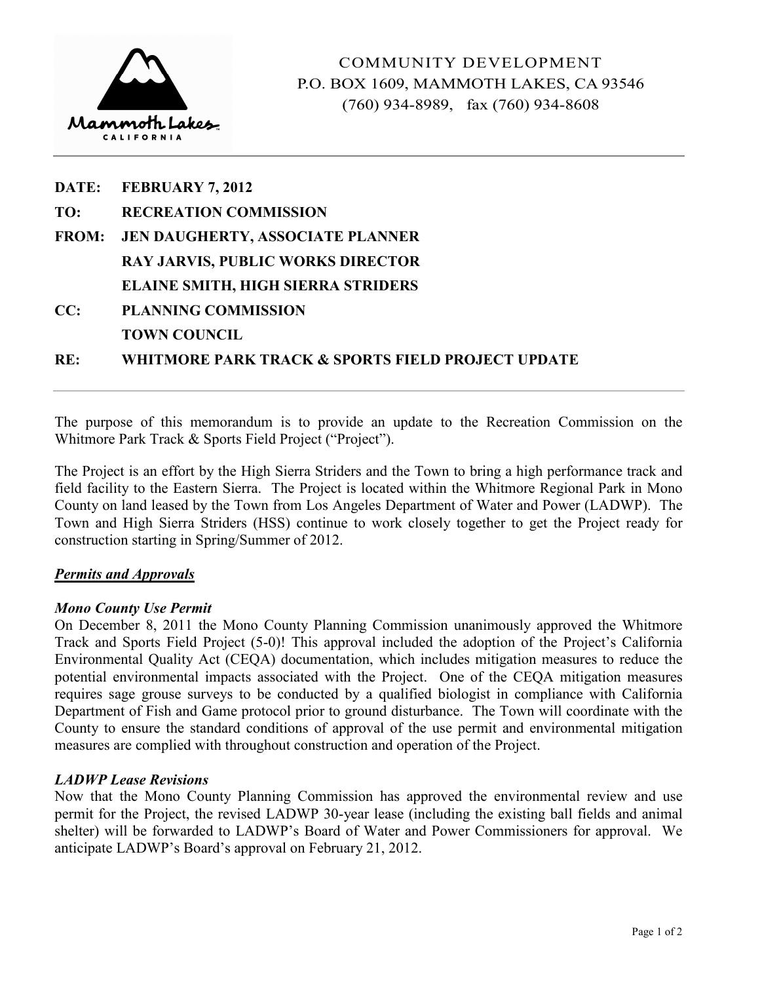

|     | DATE: FEBRUARY 7, 2012                    |
|-----|-------------------------------------------|
| TO: | <b>RECREATION COMMISSION</b>              |
|     | FROM: JEN DAUGHERTY, ASSOCIATE PLANNER    |
|     | <b>RAY JARVIS, PUBLIC WORKS DIRECTOR</b>  |
|     | <b>ELAINE SMITH, HIGH SIERRA STRIDERS</b> |
| CC: | <b>PLANNING COMMISSION</b>                |
|     | <b>TOWN COUNCIL</b>                       |
|     |                                           |

**RE: WHITMORE PARK TRACK & SPORTS FIELD PROJECT UPDATE** 

The purpose of this memorandum is to provide an update to the Recreation Commission on the Whitmore Park Track & Sports Field Project ("Project").

The Project is an effort by the High Sierra Striders and the Town to bring a high performance track and field facility to the Eastern Sierra. The Project is located within the Whitmore Regional Park in Mono County on land leased by the Town from Los Angeles Department of Water and Power (LADWP). The Town and High Sierra Striders (HSS) continue to work closely together to get the Project ready for construction starting in Spring/Summer of 2012.

# *Permits and Approvals*

## *Mono County Use Permit*

On December 8, 2011 the Mono County Planning Commission unanimously approved the Whitmore Track and Sports Field Project (5-0)! This approval included the adoption of the Project's California Environmental Quality Act (CEQA) documentation, which includes mitigation measures to reduce the potential environmental impacts associated with the Project. One of the CEQA mitigation measures requires sage grouse surveys to be conducted by a qualified biologist in compliance with California Department of Fish and Game protocol prior to ground disturbance. The Town will coordinate with the County to ensure the standard conditions of approval of the use permit and environmental mitigation measures are complied with throughout construction and operation of the Project.

## *LADWP Lease Revisions*

Now that the Mono County Planning Commission has approved the environmental review and use permit for the Project, the revised LADWP 30-year lease (including the existing ball fields and animal shelter) will be forwarded to LADWP's Board of Water and Power Commissioners for approval. We anticipate LADWP's Board's approval on February 21, 2012.